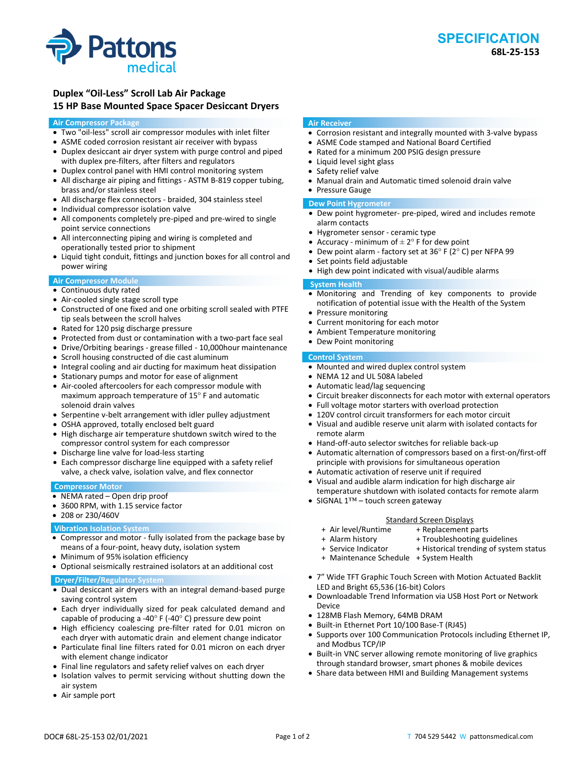## **Duplex "Oil‐Less" Scroll Lab Air Package 15 HP Base Mounted Space Spacer Desiccant Dryers**

## **Air Compressor Package**

- Two "oil‐less" scroll air compressor modules with inlet filter
- ASME coded corrosion resistant air receiver with bypass
- Duplex desiccant air dryer system with purge control and piped with duplex pre-filters, after filters and regulators
- Duplex control panel with HMI control monitoring system
- All discharge air piping and fittings ‐ ASTM B‐819 copper tubing, brass and/or stainless steel
- All discharge flex connectors ‐ braided, 304 stainless steel
- Individual compressor isolation valve
- All components completely pre-piped and pre-wired to single point service connections
- All interconnecting piping and wiring is completed and operationally tested prior to shipment
- Liquid tight conduit, fittings and junction boxes for all control and power wiring

## **Air Compressor Module**

- Continuous duty rated
- Air-cooled single stage scroll type
- Constructed of one fixed and one orbiting scroll sealed with PTFE tip seals between the scroll halves
- Rated for 120 psig discharge pressure
- Protected from dust or contamination with a two-part face seal
- Drive/Orbiting bearings ‐ grease filled ‐ 10,000hour maintenance
- Scroll housing constructed of die cast aluminum
- Integral cooling and air ducting for maximum heat dissipation
- Stationary pumps and motor for ease of alignment
- Air-cooled aftercoolers for each compressor module with maximum approach temperature of 15° F and automatic solenoid drain valves
- Serpentine v‐belt arrangement with idler pulley adjustment
- OSHA approved, totally enclosed belt guard
- High discharge air temperature shutdown switch wired to the compressor control system for each compressor
- Discharge line valve for load-less starting
- Each compressor discharge line equipped with a safety relief valve, a check valve, isolation valve, and flex connector

## **Compressor Motor**

- NEMA rated Open drip proof
- 3600 RPM, with 1.15 service factor
- 208 or 230/460V

## **Vibration Isolation System**

- Compressor and motor ‐ fully isolated from the package base by means of a four‐point, heavy duty, isolation system
- Minimum of 95% isolation efficiency
- Optional seismically restrained isolators at an additional cost

## **Dryer/Filter/Regulator System**

- Dual desiccant air dryers with an integral demand-based purge saving control system
- Each dryer individually sized for peak calculated demand and capable of producing a ‐40° F (‐40° C) pressure dew point
- High efficiency coalescing pre-filter rated for 0.01 micron on each dryer with automatic drain and element change indicator
- Particulate final line filters rated for 0.01 micron on each dryer with element change indicator
- Final line regulators and safety relief valves on each dryer
- Isolation valves to permit servicing without shutting down the air system
- Air sample port

## **Air Receiver**

- Corrosion resistant and integrally mounted with 3-valve bypass
- ASME Code stamped and National Board Certified
- Rated for a minimum 200 PSIG design pressure
- Liquid level sight glass
- Safety relief valve
- Manual drain and Automatic timed solenoid drain valve Pressure Gauge

# **Dew Point Hygrometer**

- Dew point hygrometer‐ pre‐piped, wired and includes remote alarm contacts
- Hygrometer sensor ‐ ceramic type
- Accuracy minimum of  $\pm 2^{\circ}$  F for dew point
- Dew point alarm ‐ factory set at 36° F (2° C) per NFPA 99
- Set points field adjustable
- High dew point indicated with visual/audible alarms

### **System Health**

- Monitoring and Trending of key components to provide notification of potential issue with the Health of the System
- Pressure monitoring
- Current monitoring for each motor
- Ambient Temperature monitoring
- Dew Point monitoring

## **Control System**

- Mounted and wired duplex control system
- NEMA 12 and UL 508A labeled
- Automatic lead/lag sequencing
- Circuit breaker disconnects for each motor with external operators
- Full voltage motor starters with overload protection
- 120V control circuit transformers for each motor circuit
- Visual and audible reserve unit alarm with isolated contacts for remote alarm
- Hand-off-auto selector switches for reliable back-up
- Automatic alternation of compressors based on a first‐on/first‐off principle with provisions for simultaneous operation
- Automatic activation of reserve unit if required
- Visual and audible alarm indication for high discharge air temperature shutdown with isolated contacts for remote alarm
- SIGNAL 1™ touch screen gateway

- Standard Screen Displays<br>Air level/Runtime + Replacement p + + Replacement parts
- 
- + Alarm history + Troubleshooting guidelines
- + Service Indicator + Historical trending of system status
- + Maintenance Schedule + System Health
- 7" Wide TFT Graphic Touch Screen with Motion Actuated Backlit LED and Bright 65,536 (16‐bit) Colors
- Downloadable Trend Information via USB Host Port or Network Device
- 128MB Flash Memory, 64MB DRAM
- Built‐in Ethernet Port 10/100 Base‐T (RJ45)
- Supports over 100 Communication Protocols including Ethernet IP, and Modbus TCP/IP
- Built-in VNC server allowing remote monitoring of live graphics through standard browser, smart phones & mobile devices
- Share data between HMI and Building Management systems